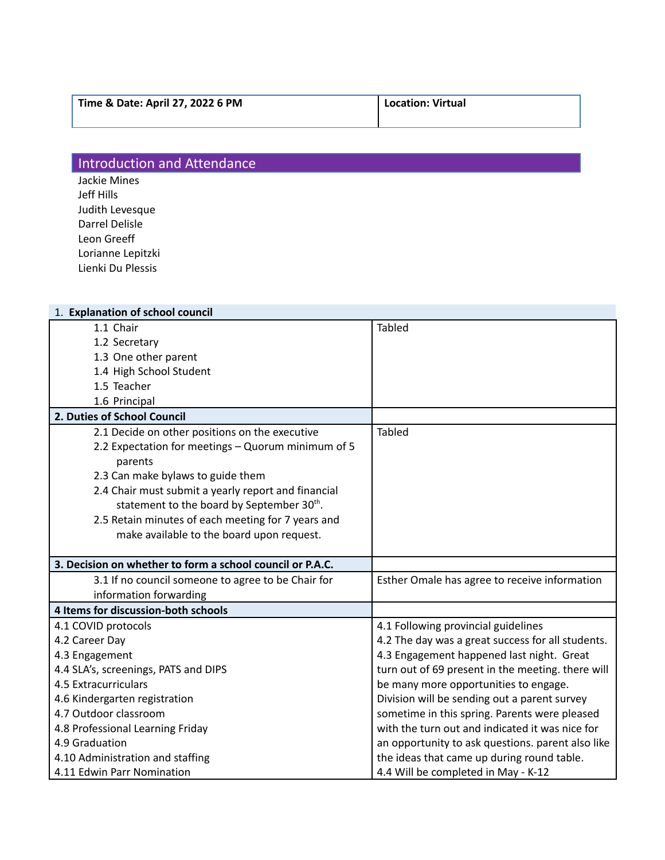## Introduction and Attendance

Jackie Mines Jeff Hills Judith Levesque Darrel Delisle Leon Greeff Lorianne Lepitzki Lienki Du Plessis

| 1. Explanation of school council                          |                                                   |
|-----------------------------------------------------------|---------------------------------------------------|
| 1.1 Chair                                                 | <b>Tabled</b>                                     |
| 1.2 Secretary                                             |                                                   |
| 1.3 One other parent                                      |                                                   |
| 1.4 High School Student                                   |                                                   |
| 1.5 Teacher                                               |                                                   |
| 1.6 Principal                                             |                                                   |
| 2. Duties of School Council                               |                                                   |
| 2.1 Decide on other positions on the executive            | <b>Tabled</b>                                     |
| 2.2 Expectation for meetings - Quorum minimum of 5        |                                                   |
| parents                                                   |                                                   |
| 2.3 Can make bylaws to guide them                         |                                                   |
| 2.4 Chair must submit a yearly report and financial       |                                                   |
| statement to the board by September 30th.                 |                                                   |
| 2.5 Retain minutes of each meeting for 7 years and        |                                                   |
| make available to the board upon request.                 |                                                   |
|                                                           |                                                   |
| 3. Decision on whether to form a school council or P.A.C. |                                                   |
| 3.1 If no council someone to agree to be Chair for        | Esther Omale has agree to receive information     |
| information forwarding                                    |                                                   |
| 4 Items for discussion-both schools                       |                                                   |
| 4.1 COVID protocols                                       | 4.1 Following provincial guidelines               |
| 4.2 Career Day                                            | 4.2 The day was a great success for all students. |
| 4.3 Engagement                                            | 4.3 Engagement happened last night. Great         |
| 4.4 SLA's, screenings, PATS and DIPS                      | turn out of 69 present in the meeting. there will |
| 4.5 Extracurriculars                                      | be many more opportunities to engage.             |
| 4.6 Kindergarten registration                             | Division will be sending out a parent survey      |
| 4.7 Outdoor classroom                                     | sometime in this spring. Parents were pleased     |
| 4.8 Professional Learning Friday                          | with the turn out and indicated it was nice for   |
| 4.9 Graduation                                            | an opportunity to ask questions. parent also like |
| 4.10 Administration and staffing                          | the ideas that came up during round table.        |
| 4.11 Edwin Parr Nomination                                | 4.4 Will be completed in May - K-12               |